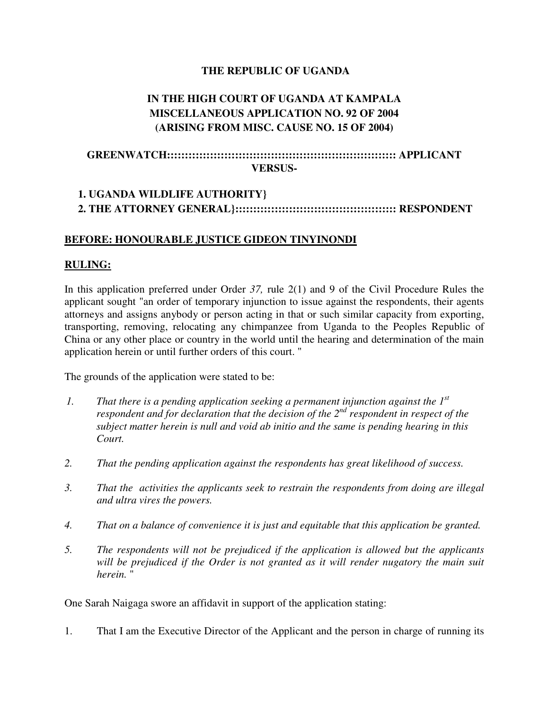### **THE REPUBLIC OF UGANDA**

# **IN THE HIGH COURT OF UGANDA AT KAMPALA MISCELLANEOUS APPLICATION NO. 92 OF 2004 (ARISING FROM MISC. CAUSE NO. 15 OF 2004)**

## **GREENWATCH:::::::::::::::::::::::::::::::::::::::::::::::::::::::::::::::: APPLICANT VERSUS-**

# **1. UGANDA WILDLIFE AUTHORITY} 2. THE ATTORNEY GENERAL}::::::::::::::::::::::::::::::::::::::::::::: RESPONDENT**

#### **BEFORE: HONOURABLE JUSTICE GIDEON TINYINONDI**

#### **RULING:**

In this application preferred under Order *37,* rule 2(1) and 9 of the Civil Procedure Rules the applicant sought "an order of temporary injunction to issue against the respondents, their agents attorneys and assigns anybody or person acting in that or such similar capacity from exporting, transporting, removing, relocating any chimpanzee from Uganda to the Peoples Republic of China or any other place or country in the world until the hearing and determination of the main application herein or until further orders of this court. "

The grounds of the application were stated to be:

- *1. That there is a pending application seeking a permanent injunction against the 1st respondent and for declaration that the decision of the 2nd respondent in respect of the subject matter herein is null and void ab initio and the same is pending hearing in this Court.*
- *2. That the pending application against the respondents has great likelihood of success.*
- *3. That the activities the applicants seek to restrain the respondents from doing are illegal and ultra vires the powers.*
- *4. That on a balance of convenience it is just and equitable that this application be granted.*
- *5. The respondents will not be prejudiced if the application is allowed but the applicants will be prejudiced if the Order is not granted as it will render nugatory the main suit herein.* "

One Sarah Naigaga swore an affidavit in support of the application stating:

1. That I am the Executive Director of the Applicant and the person in charge of running its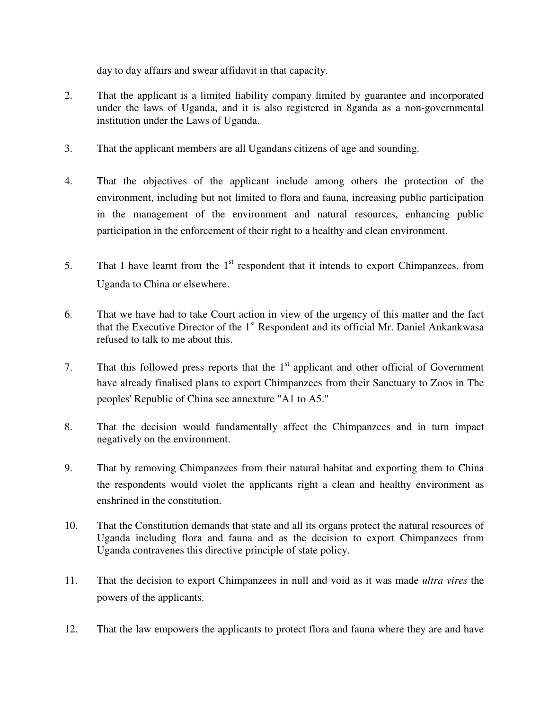day to day affairs and swear affidavit in that capacity.

- 2. That the applicant is a limited liability company limited by guarantee and incorporated under the laws of Uganda, and it is also registered in 8ganda as a non-governmental institution under the Laws of Uganda.
- 3. That the applicant members are all Ugandans citizens of age and sounding.
- 4. That the objectives of the applicant include among others the protection of the environment, including but not limited to flora and fauna, increasing public participation in the management of the environment and natural resources, enhancing public participation in the enforcement of their right to a healthy and clean environment.
- 5. That I have learnt from the  $1<sup>st</sup>$  respondent that it intends to export Chimpanzees, from Uganda to China or elsewhere.
- 6. That we have had to take Court action in view of the urgency of this matter and the fact that the Executive Director of the 1<sup>st</sup> Respondent and its official Mr. Daniel Ankankwasa refused to talk to me about this.
- 7. That this followed press reports that the  $1<sup>st</sup>$  applicant and other official of Government have already finalised plans to export Chimpanzees from their Sanctuary to Zoos in The peoples' Republic of China see annexture "A1 to A5."
- 8. That the decision would fundamentally affect the Chimpanzees and in turn impact negatively on the environment.
- 9. That by removing Chimpanzees from their natural habitat and exporting them to China the respondents would violet the applicants right a clean and healthy environment as enshrined in the constitution.
- 10. That the Constitution demands that state and all its organs protect the natural resources of Uganda including flora and fauna and as the decision to export Chimpanzees from Uganda contravenes this directive principle of state policy.
- 11. That the decision to export Chimpanzees in null and void as it was made *ultra vires* the powers of the applicants.
- 12. That the law empowers the applicants to protect flora and fauna where they are and have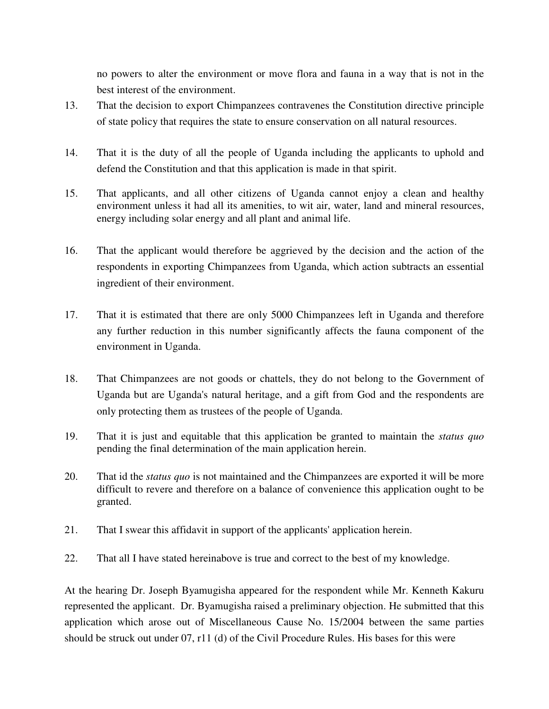no powers to alter the environment or move flora and fauna in a way that is not in the best interest of the environment.

- 13. That the decision to export Chimpanzees contravenes the Constitution directive principle of state policy that requires the state to ensure conservation on all natural resources.
- 14. That it is the duty of all the people of Uganda including the applicants to uphold and defend the Constitution and that this application is made in that spirit.
- 15. That applicants, and all other citizens of Uganda cannot enjoy a clean and healthy environment unless it had all its amenities, to wit air, water, land and mineral resources, energy including solar energy and all plant and animal life.
- 16. That the applicant would therefore be aggrieved by the decision and the action of the respondents in exporting Chimpanzees from Uganda, which action subtracts an essential ingredient of their environment.
- 17. That it is estimated that there are only 5000 Chimpanzees left in Uganda and therefore any further reduction in this number significantly affects the fauna component of the environment in Uganda.
- 18. That Chimpanzees are not goods or chattels, they do not belong to the Government of Uganda but are Uganda's natural heritage, and a gift from God and the respondents are only protecting them as trustees of the people of Uganda.
- 19. That it is just and equitable that this application be granted to maintain the *status quo*  pending the final determination of the main application herein.
- 20. That id the *status quo* is not maintained and the Chimpanzees are exported it will be more difficult to revere and therefore on a balance of convenience this application ought to be granted.
- 21. That I swear this affidavit in support of the applicants' application herein.
- 22. That all I have stated hereinabove is true and correct to the best of my knowledge.

At the hearing Dr. Joseph Byamugisha appeared for the respondent while Mr. Kenneth Kakuru represented the applicant. Dr. Byamugisha raised a preliminary objection. He submitted that this application which arose out of Miscellaneous Cause No. 15/2004 between the same parties should be struck out under 07, r11 (d) of the Civil Procedure Rules. His bases for this were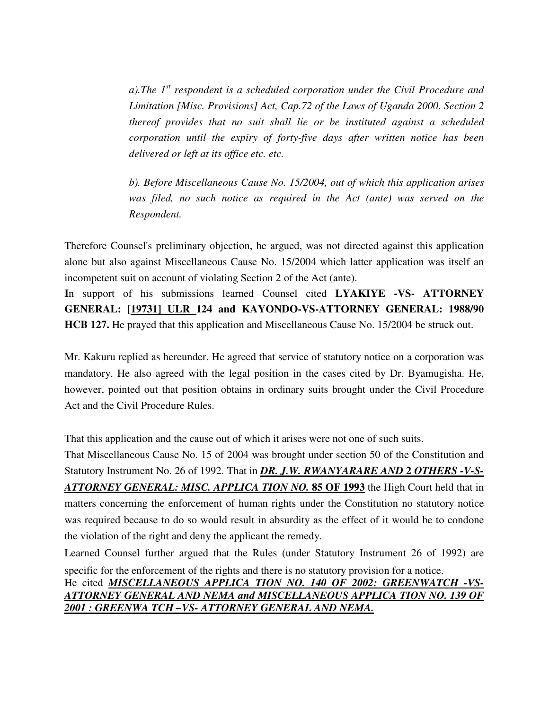*a).The 1st respondent is a scheduled corporation under the Civil Procedure and Limitation [Misc. Provisions] Act, Cap.72 of the Laws of Uganda 2000. Section 2 thereof provides that no suit shall lie or be instituted against a scheduled corporation until the expiry of forty-five days after written notice has been delivered or left at its office etc. etc.* 

*b). Before Miscellaneous Cause No. 15/2004, out of which this application arises was filed, no such notice as required in the Act (ante) was served on the Respondent.* 

Therefore Counsel's preliminary objection, he argued, was not directed against this application alone but also against Miscellaneous Cause No. 15/2004 which latter application was itself an incompetent suit on account of violating Section 2 of the Act (ante).

**I**n support of his submissions learned Counsel cited **LYAKIYE -VS- ATTORNEY GENERAL: [19731] ULR 124 and KAYONDO-VS-ATTORNEY GENERAL: 1988/90 HCB 127.** He prayed that this application and Miscellaneous Cause No. 15/2004 be struck out.

Mr. Kakuru replied as hereunder. He agreed that service of statutory notice on a corporation was mandatory. He also agreed with the legal position in the cases cited by Dr. Byamugisha. He, however, pointed out that position obtains in ordinary suits brought under the Civil Procedure Act and the Civil Procedure Rules.

That this application and the cause out of which it arises were not one of such suits.

That Miscellaneous Cause No. 15 of 2004 was brought under section 50 of the Constitution and Statutory Instrument No. 26 of 1992. That in *DR. J.W. RWANYARARE AND* 2 *OTHERS -V-S-ATTORNEY GENERAL: MISC. APPLICA TION NO.* **85 OF 1993** the High Court held that in matters concerning the enforcement of human rights under the Constitution no statutory notice was required because to do so would result in absurdity as the effect of it would be to condone the violation of the right and deny the applicant the remedy.

Learned Counsel further argued that the Rules (under Statutory Instrument 26 of 1992) are specific for the enforcement of the rights and there is no statutory provision for a notice. He cited *MISCELLANEOUS APPLICA TION NO. 140 OF 2002: GREENWATCH -VS-ATTORNEY GENERAL AND NEMA and MISCELLANEOUS APPLICA TION NO. 139 OF 2001 : GREENWA TCH –VS- ATTORNEY GENERAL AND NEMA.*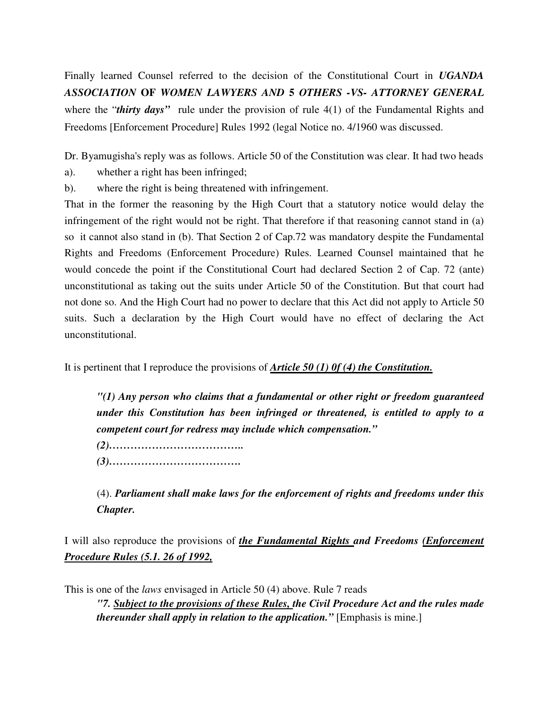Finally learned Counsel referred to the decision of the Constitutional Court in *UGANDA ASSOCIATION* **OF** *WOMEN LAWYERS AND* **5** *OTHERS -VS- ATTORNEY GENERAL*  where the "*thirty days*" rule under the provision of rule 4(1) of the Fundamental Rights and Freedoms [Enforcement Procedure] Rules 1992 (legal Notice no. 4/1960 was discussed.

Dr. Byamugisha's reply was as follows. Article 50 of the Constitution was clear. It had two heads

- a). whether a right has been infringed;
- b). where the right is being threatened with infringement.

That in the former the reasoning by the High Court that a statutory notice would delay the infringement of the right would not be right. That therefore if that reasoning cannot stand in (a) so it cannot also stand in (b). That Section 2 of Cap.72 was mandatory despite the Fundamental Rights and Freedoms (Enforcement Procedure) Rules. Learned Counsel maintained that he would concede the point if the Constitutional Court had declared Section 2 of Cap. 72 (ante) unconstitutional as taking out the suits under Article 50 of the Constitution. But that court had not done so. And the High Court had no power to declare that this Act did not apply to Article 50 suits. Such a declaration by the High Court would have no effect of declaring the Act unconstitutional.

It is pertinent that I reproduce the provisions of *Article 50 (1) 0f (4) the Constitution.*

*"(1) Any person who claims that a fundamental or other right or freedom guaranteed under this Constitution has been infringed or threatened, is entitled to apply to a competent court for redress may include which compensation."* 

*(2)……………………………….. (3)……………………………….* 

(4). *Parliament shall make laws for the enforcement of rights and freedoms under this Chapter.*

I will also reproduce the provisions of *the Fundamental Rights and Freedoms (Enforcement Procedure Rules (5.1. 26 of 1992,*

This is one of the *laws* envisaged in Article 50 (4) above. Rule 7 reads *"7. Subject to the provisions of these Rules, the Civil Procedure Act and the rules made thereunder shall apply in relation to the application.*" [Emphasis is mine.]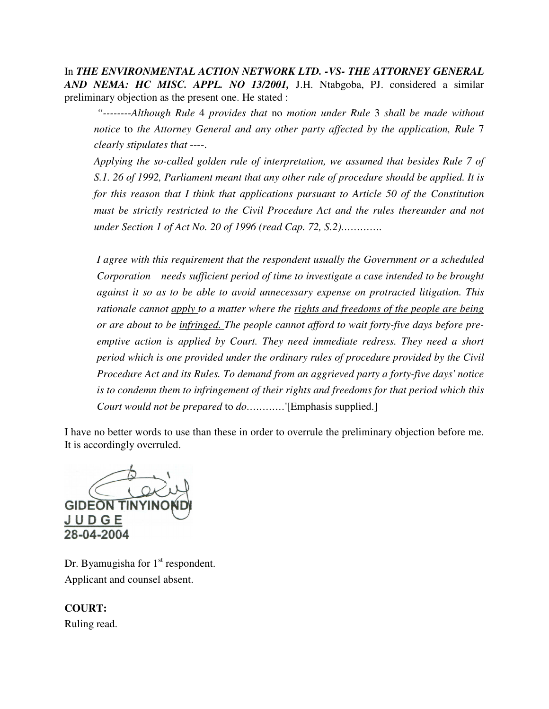In *THE ENVIRONMENTAL ACTION NETWORK LTD. -VS- THE ATTORNEY GENERAL AND NEMA: HC MISC. APPL. NO 13/2001,* J.H. Ntabgoba, PJ. considered a similar preliminary objection as the present one. He stated :

 *"--------Although Rule* 4 *provides that* no *motion under Rule* 3 *shall be made without notice* to *the Attorney General and any other party affected by the application, Rule* 7 *clearly stipulates that* ----.

*Applying the so-called golden rule of interpretation, we assumed that besides Rule 7 of S.1. 26 of 1992, Parliament meant that any other rule of procedure should be applied. It is for this reason that I think that applications pursuant to Article 50 of the Constitution must be strictly restricted to the Civil Procedure Act and the rules thereunder and not under Section 1 of Act No. 20 of 1996 (read Cap. 72, S.2)………….* 

*I agree with this requirement that the respondent usually the Government or a scheduled Corporation needs sufficient period of time to investigate a case intended to be brought against it so as to be able to avoid unnecessary expense on protracted litigation. This rationale cannot apply to a matter where the rights and freedoms of the people are being or are about to be infringed. The people cannot afford to wait forty-five days before preemptive action is applied by Court. They need immediate redress. They need a short period which is one provided under the ordinary rules of procedure provided by the Civil Procedure Act and its Rules. To demand from an aggrieved party a forty-five days' notice is to condemn them to infringement of their rights and freedoms for that period which this Court would not be prepared* to *do…………*'[Emphasis supplied.]

I have no better words to use than these in order to overrule the preliminary objection before me. It is accordingly overruled.

**GIDEON TINYIN** JUDGE 28-04-2004

Dr. Byamugisha for  $1<sup>st</sup>$  respondent. Applicant and counsel absent.

## **COURT:**

Ruling read.